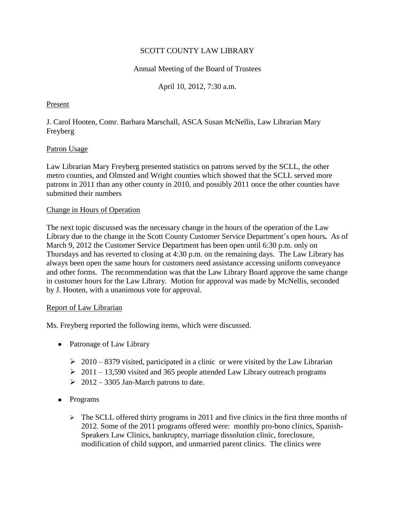## SCOTT COUNTY LAW LIBRARY

## Annual Meeting of the Board of Trustees

April 10, 2012, 7:30 a.m.

### Present

J. Carol Hooten, Comr. Barbara Marschall, ASCA Susan McNellis, Law Librarian Mary Freyberg

#### Patron Usage

Law Librarian Mary Freyberg presented statistics on patrons served by the SCLL, the other metro counties, and Olmsted and Wright counties which showed that the SCLL served more patrons in 2011 than any other county in 2010, and possibly 2011 once the other counties have submitted their numbers

## Change in Hours of Operation

The next topic discussed was the necessary change in the hours of the operation of the Law Library due to the change in the Scott County Customer Service Department's open hours*.* As of March 9, 2012 the Customer Service Department has been open until 6:30 p.m. only on Thursdays and has reverted to closing at 4:30 p.m. on the remaining days. The Law Library has always been open the same hours for customers need assistance accessing uniform conveyance and other forms. The recommendation was that the Law Library Board approve the same change in customer hours for the Law Library. Motion for approval was made by McNellis, seconded by J. Hooten, with a unanimous vote for approval.

#### Report of Law Librarian

Ms. Freyberg reported the following items, which were discussed.

- Patronage of Law Library
	- $\geq 2010 8379$  visited, participated in a clinic or were visited by the Law Librarian
	- $\geq 2011 13,590$  visited and 365 people attended Law Library outreach programs
	- $\geq 2012 3305$  Jan-March patrons to date.
- Programs
	- $\triangleright$  The SCLL offered thirty programs in 2011 and five clinics in the first three months of 2012. Some of the 2011 programs offered were: monthly pro-bono clinics, Spanish-Speakers Law Clinics, bankruptcy, marriage dissolution clinic, foreclosure, modification of child support, and unmarried parent clinics. The clinics were